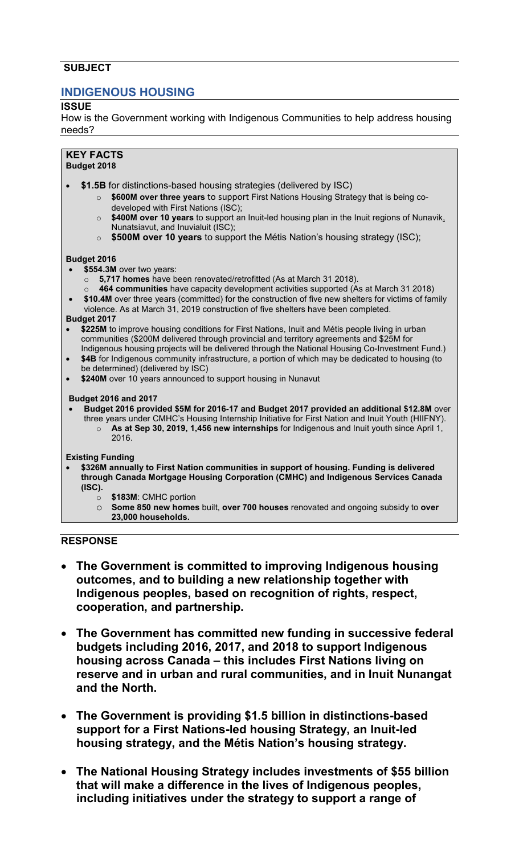# **SUBJECT**

# **INDIGENOUS HOUSING**

## **ISSUE**

How is the Government working with Indigenous Communities to help address housing needs?

#### **KEY FACTS Budget 2018**

- \$1.5B for distinctions-based housing strategies (delivered by ISC)
	- o **\$600M over three years** to support First Nations Housing Strategy that is being codeveloped with First Nations (ISC);
	- o **\$400M over 10 years** to support an Inuit-led housing plan in the Inuit regions of Nunavik, Nunatsiavut, and Inuvialuit (ISC);
	- o **\$500M over 10 years** to support the Métis Nation's housing strategy (ISC);

### **Budget 2016**

- **\$554.3M** over two years:
	- o **5,717 homes** have been renovated/retrofitted (As at March 31 2018).
		- 464 communities have capacity development activities supported (As at March 31 2018)
- **\$10.4M** over three years (committed) for the construction of five new shelters for victims of family violence. As at March 31, 2019 construction of five shelters have been completed.

#### **Budget 2017**

- **\$225M** to improve housing conditions for First Nations, Inuit and Métis people living in urban communities (\$200M delivered through provincial and territory agreements and \$25M for Indigenous housing projects will be delivered through the National Housing Co-Investment Fund.)
- **\$4B** for Indigenous community infrastructure, a portion of which may be dedicated to housing (to be determined) (delivered by ISC)
- **\$240M** over 10 years announced to support housing in Nunavut

#### **Budget 2016 and 2017**

• **Budget 2016 provided \$5M for 2016-17 and Budget 2017 provided an additional \$12.8M** over three years under CMHC's Housing Internship Initiative for First Nation and Inuit Youth (HIIFNY). o **As at Sep 30, 2019, 1,456 new internships** for Indigenous and Inuit youth since April 1, 2016.

### **Existing Funding**

- **\$326M annually to First Nation communities in support of housing. Funding is delivered through Canada Mortgage Housing Corporation (CMHC) and Indigenous Services Canada (ISC).**
	- o **\$183M**: CMHC portion
	- o **Some 850 new homes** built, **over 700 houses** renovated and ongoing subsidy to **over 23,000 households.**

# **RESPONSE**

- **The Government is committed to improving Indigenous housing outcomes, and to building a new relationship together with Indigenous peoples, based on recognition of rights, respect, cooperation, and partnership.**
- **The Government has committed new funding in successive federal budgets including 2016, 2017, and 2018 to support Indigenous housing across Canada – this includes First Nations living on reserve and in urban and rural communities, and in Inuit Nunangat and the North.**
- **The Government is providing \$1.5 billion in distinctions-based support for a First Nations-led housing Strategy, an Inuit-led housing strategy, and the Métis Nation's housing strategy.**
- **The National Housing Strategy includes investments of \$55 billion that will make a difference in the lives of Indigenous peoples, including initiatives under the strategy to support a range of**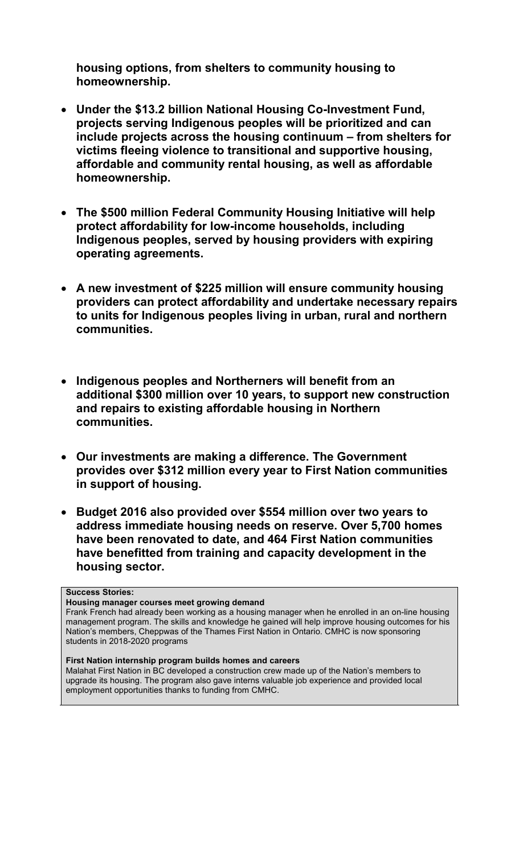**housing options, from shelters to community housing to homeownership.**

- **Under the \$13.2 billion National Housing Co-Investment Fund, projects serving Indigenous peoples will be prioritized and can include projects across the housing continuum – from shelters for victims fleeing violence to transitional and supportive housing, affordable and community rental housing, as well as affordable homeownership.**
- **The \$500 million Federal Community Housing Initiative will help protect affordability for low-income households, including Indigenous peoples, served by housing providers with expiring operating agreements.**
- **A new investment of \$225 million will ensure community housing providers can protect affordability and undertake necessary repairs to units for Indigenous peoples living in urban, rural and northern communities.**
- **Indigenous peoples and Northerners will benefit from an additional \$300 million over 10 years, to support new construction and repairs to existing affordable housing in Northern communities.**
- **Our investments are making a difference. The Government provides over \$312 million every year to First Nation communities in support of housing.**
- **Budget 2016 also provided over \$554 million over two years to address immediate housing needs on reserve. Over 5,700 homes have been renovated to date, and 464 First Nation communities have benefitted from training and capacity development in the housing sector.**

### **Success Stories:**

**Housing manager courses meet growing demand**

Frank French had already been working as a housing manager when he enrolled in an on-line housing management program. The skills and knowledge he gained will help improve housing outcomes for his Nation's members, Cheppwas of the Thames First Nation in Ontario. CMHC is now sponsoring students in 2018-2020 programs

#### **First Nation internship program builds homes and careers**

Malahat First Nation in BC developed a construction crew made up of the Nation's members to upgrade its housing. The program also gave interns valuable job experience and provided local employment opportunities thanks to funding from CMHC.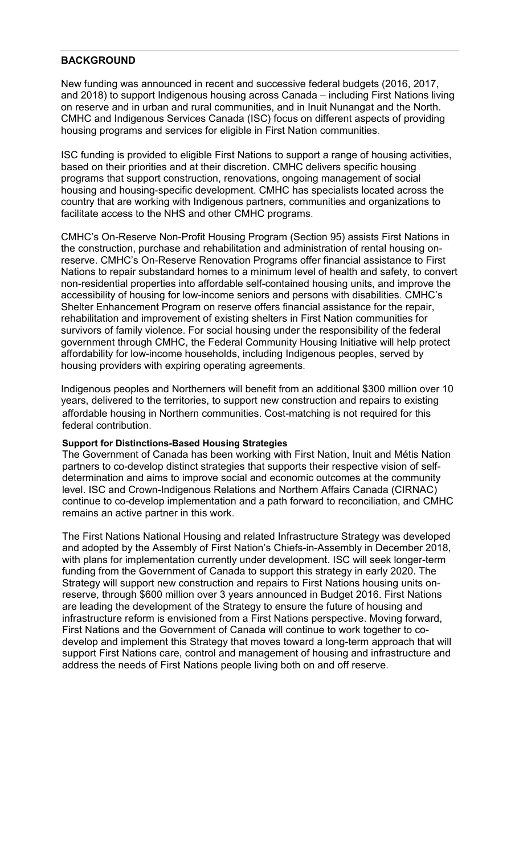### **BACKGROUND**

New funding was announced in recent and successive federal budgets (2016, 2017, and 2018) to support Indigenous housing across Canada – including First Nations living on reserve and in urban and rural communities, and in Inuit Nunangat and the North. CMHC and Indigenous Services Canada (ISC) focus on different aspects of providing housing programs and services for eligible in First Nation communities.

ISC funding is provided to eligible First Nations to support a range of housing activities, based on their priorities and at their discretion. CMHC delivers specific housing programs that support construction, renovations, ongoing management of social housing and housing-specific development. CMHC has specialists located across the country that are working with Indigenous partners, communities and organizations to facilitate access to the NHS and other CMHC programs.

CMHC's On-Reserve Non-Profit Housing Program (Section 95) assists First Nations in the construction, purchase and rehabilitation and administration of rental housing onreserve. CMHC's On-Reserve Renovation Programs offer financial assistance to First Nations to repair substandard homes to a minimum level of health and safety, to convert non-residential properties into affordable self-contained housing units, and improve the accessibility of housing for low-income seniors and persons with disabilities. CMHC's Shelter Enhancement Program on reserve offers financial assistance for the repair, rehabilitation and improvement of existing shelters in First Nation communities for survivors of family violence. For social housing under the responsibility of the federal government through CMHC, the Federal Community Housing Initiative will help protect affordability for low-income households, including Indigenous peoples, served by housing providers with expiring operating agreements.

Indigenous peoples and Northerners will benefit from an additional \$300 million over 10 years, delivered to the territories, to support new construction and repairs to existing affordable housing in Northern communities. Cost-matching is not required for this federal contribution.

### **Support for Distinctions-Based Housing Strategies**

The Government of Canada has been working with First Nation, Inuit and Métis Nation partners to co-develop distinct strategies that supports their respective vision of selfdetermination and aims to improve social and economic outcomes at the community level. ISC and Crown-Indigenous Relations and Northern Affairs Canada (CIRNAC) continue to co-develop implementation and a path forward to reconciliation, and CMHC remains an active partner in this work.

The First Nations National Housing and related Infrastructure Strategy was developed and adopted by the Assembly of First Nation's Chiefs-in-Assembly in December 2018, with plans for implementation currently under development. ISC will seek longer-term funding from the Government of Canada to support this strategy in early 2020. The Strategy will support new construction and repairs to First Nations housing units onreserve, through \$600 million over 3 years announced in Budget 2016. First Nations are leading the development of the Strategy to ensure the future of housing and infrastructure reform is envisioned from a First Nations perspective. Moving forward, First Nations and the Government of Canada will continue to work together to codevelop and implement this Strategy that moves toward a long-term approach that will support First Nations care, control and management of housing and infrastructure and address the needs of First Nations people living both on and off reserve.